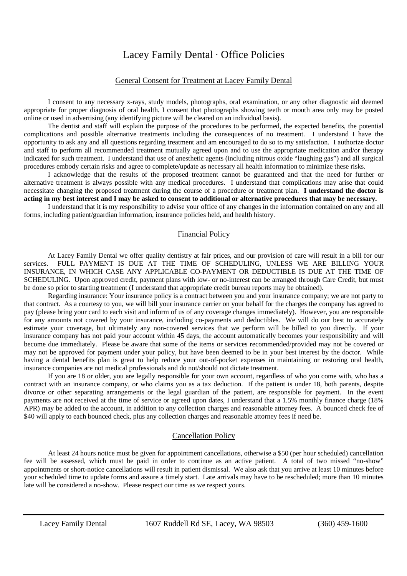# Lacey Family Dental ∙ Office Policies

#### General Consent for Treatment at Lacey Family Dental

I consent to any necessary x-rays, study models, photographs, oral examination, or any other diagnostic aid deemed appropriate for proper diagnosis of oral health. I consent that photographs showing teeth or mouth area only may be posted online or used in advertising (any identifying picture will be cleared on an individual basis).

The dentist and staff will explain the purpose of the procedures to be performed, the expected benefits, the potential complications and possible alternative treatments including the consequences of no treatment. I understand I have the opportunity to ask any and all questions regarding treatment and am encouraged to do so to my satisfaction. I authorize doctor and staff to perform all recommended treatment mutually agreed upon and to use the appropriate medication and/or therapy indicated for such treatment. I understand that use of anesthetic agents (including nitrous oxide "laughing gas") and all surgical procedures embody certain risks and agree to complete/update as necessary all health information to minimize these risks.

I acknowledge that the results of the proposed treatment cannot be guaranteed and that the need for further or alternative treatment is always possible with any medical procedures. I understand that complications may arise that could necessitate changing the proposed treatment during the course of a procedure or treatment plan. **I understand the doctor is acting in my best interest and I may be asked to consent to additional or alternative procedures that may be necessary.**

I understand that it is my responsibility to advise your office of any changes in the information contained on any and all forms, including patient/guardian information, insurance policies held, and health history.

#### Financial Policy

At Lacey Family Dental we offer quality dentistry at fair prices, and our provision of care will result in a bill for our services. FULL PAYMENT IS DUE AT THE TIME OF SCHEDULING, UNLESS WE ARE BILLING YOUR INSURANCE, IN WHICH CASE ANY APPLICABLE CO-PAYMENT OR DEDUCTIBLE IS DUE AT THE TIME OF SCHEDULING. Upon approved credit, payment plans with low- or no-interest can be arranged through Care Credit, but must be done so prior to starting treatment (I understand that appropriate credit bureau reports may be obtained).

Regarding insurance: Your insurance policy is a contract between you and your insurance company; we are not party to that contract. As a courtesy to you, we will bill your insurance carrier on your behalf for the charges the company has agreed to pay (please bring your card to each visit and inform of us of any coverage changes immediately). However, you are responsible for any amounts not covered by your insurance, including co-payments and deductibles. We will do our best to accurately estimate your coverage, but ultimately any non-covered services that we perform will be billed to you directly. If your insurance company has not paid your account within 45 days, the account automatically becomes your responsibility and will become due immediately. Please be aware that some of the items or services recommended/provided may not be covered or may not be approved for payment under your policy, but have been deemed to be in your best interest by the doctor. While having a dental benefits plan is great to help reduce your out-of-pocket expenses in maintaining or restoring oral health, insurance companies are not medical professionals and do not/should not dictate treatment.

If you are 18 or older, you are legally responsible for your own account, regardless of who you come with, who has a contract with an insurance company, or who claims you as a tax deduction. If the patient is under 18, both parents, despite divorce or other separating arrangements or the legal guardian of the patient, are responsible for payment. In the event payments are not received at the time of service or agreed upon dates, I understand that a 1.5% monthly finance charge (18% APR) may be added to the account, in addition to any collection charges and reasonable attorney fees. A bounced check fee of \$40 will apply to each bounced check, plus any collection charges and reasonable attorney fees if need be.

### Cancellation Policy

At least 24 hours notice must be given for appointment cancellations, otherwise a \$50 (per hour scheduled) cancellation fee will be assessed, which must be paid in order to continue as an active patient. A total of two missed "no-show" appointments or short-notice cancellations will result in patient dismissal. We also ask that you arrive at least 10 minutes before your scheduled time to update forms and assure a timely start. Late arrivals may have to be rescheduled; more than 10 minutes late will be considered a no-show. Please respect our time as we respect yours.